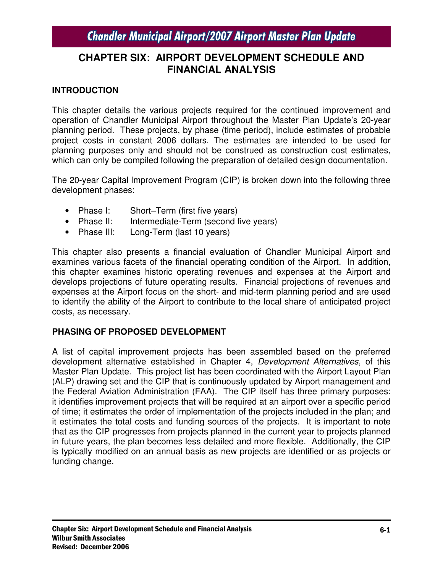# **CHAPTER SIX: AIRPORT DEVELOPMENT SCHEDULE AND FINANCIAL ANALYSIS**

### **INTRODUCTION**

This chapter details the various projects required for the continued improvement and operation of Chandler Municipal Airport throughout the Master Plan Update's 20-year planning period. These projects, by phase (time period), include estimates of probable project costs in constant 2006 dollars. The estimates are intended to be used for planning purposes only and should not be construed as construction cost estimates, which can only be compiled following the preparation of detailed design documentation.

The 20-year Capital Improvement Program (CIP) is broken down into the following three development phases:

- Phase I: Short–Term (first five years)
- Phase II: Intermediate-Term (second five years)
- Phase III: Long-Term (last 10 years)

This chapter also presents a financial evaluation of Chandler Municipal Airport and examines various facets of the financial operating condition of the Airport. In addition, this chapter examines historic operating revenues and expenses at the Airport and develops projections of future operating results. Financial projections of revenues and expenses at the Airport focus on the short- and mid-term planning period and are used to identify the ability of the Airport to contribute to the local share of anticipated project costs, as necessary.

### **PHASING OF PROPOSED DEVELOPMENT**

A list of capital improvement projects has been assembled based on the preferred development alternative established in Chapter 4, *Development Alternatives*, of this Master Plan Update. This project list has been coordinated with the Airport Layout Plan (ALP) drawing set and the CIP that is continuously updated by Airport management and the Federal Aviation Administration (FAA). The CIP itself has three primary purposes: it identifies improvement projects that will be required at an airport over a specific period of time; it estimates the order of implementation of the projects included in the plan; and it estimates the total costs and funding sources of the projects. It is important to note that as the CIP progresses from projects planned in the current year to projects planned in future years, the plan becomes less detailed and more flexible. Additionally, the CIP is typically modified on an annual basis as new projects are identified or as projects or funding change.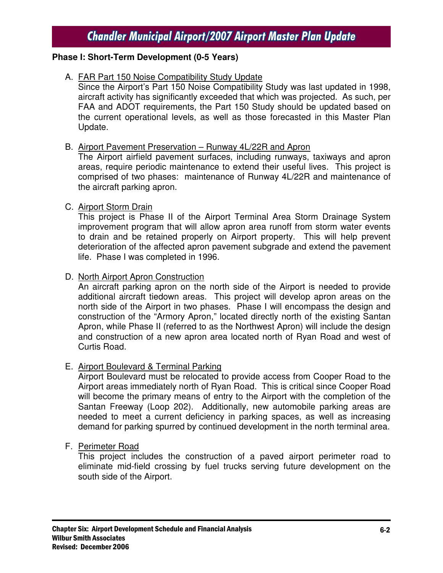### **Phase I: Short-Term Development (0-5 Years)**

### A. FAR Part 150 Noise Compatibility Study Update

Since the Airport's Part 150 Noise Compatibility Study was last updated in 1998, aircraft activity has significantly exceeded that which was projected. As such, per FAA and ADOT requirements, the Part 150 Study should be updated based on the current operational levels, as well as those forecasted in this Master Plan Update.

#### B. Airport Pavement Preservation – Runway 4L/22R and Apron

The Airport airfield pavement surfaces, including runways, taxiways and apron areas, require periodic maintenance to extend their useful lives. This project is comprised of two phases: maintenance of Runway 4L/22R and maintenance of the aircraft parking apron.

### C. Airport Storm Drain

This project is Phase II of the Airport Terminal Area Storm Drainage System improvement program that will allow apron area runoff from storm water events to drain and be retained properly on Airport property. This will help prevent deterioration of the affected apron pavement subgrade and extend the pavement life. Phase I was completed in 1996.

### D. North Airport Apron Construction

An aircraft parking apron on the north side of the Airport is needed to provide additional aircraft tiedown areas. This project will develop apron areas on the north side of the Airport in two phases. Phase I will encompass the design and construction of the "Armory Apron," located directly north of the existing Santan Apron, while Phase II (referred to as the Northwest Apron) will include the design and construction of a new apron area located north of Ryan Road and west of Curtis Road.

### E. Airport Boulevard & Terminal Parking

Airport Boulevard must be relocated to provide access from Cooper Road to the Airport areas immediately north of Ryan Road. This is critical since Cooper Road will become the primary means of entry to the Airport with the completion of the Santan Freeway (Loop 202). Additionally, new automobile parking areas are needed to meet a current deficiency in parking spaces, as well as increasing demand for parking spurred by continued development in the north terminal area.

#### F. Perimeter Road

This project includes the construction of a paved airport perimeter road to eliminate mid-field crossing by fuel trucks serving future development on the south side of the Airport.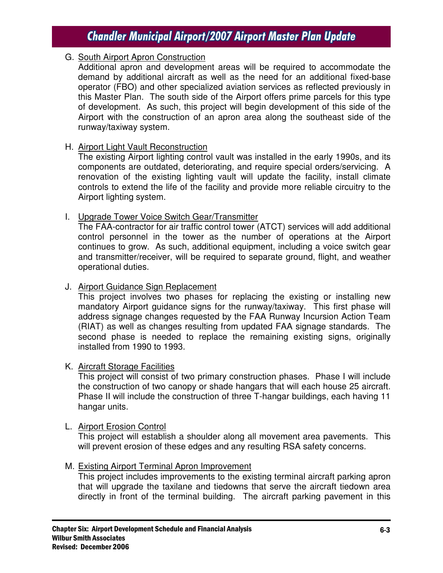### G. South Airport Apron Construction

Additional apron and development areas will be required to accommodate the demand by additional aircraft as well as the need for an additional fixed-base operator (FBO) and other specialized aviation services as reflected previously in this Master Plan. The south side of the Airport offers prime parcels for this type of development. As such, this project will begin development of this side of the Airport with the construction of an apron area along the southeast side of the runway/taxiway system.

### H. Airport Light Vault Reconstruction

The existing Airport lighting control vault was installed in the early 1990s, and its components are outdated, deteriorating, and require special orders/servicing. A renovation of the existing lighting vault will update the facility, install climate controls to extend the life of the facility and provide more reliable circuitry to the Airport lighting system.

#### I. Upgrade Tower Voice Switch Gear/Transmitter

The FAA-contractor for air traffic control tower (ATCT) services will add additional control personnel in the tower as the number of operations at the Airport continues to grow. As such, additional equipment, including a voice switch gear and transmitter/receiver, will be required to separate ground, flight, and weather operational duties.

### J. Airport Guidance Sign Replacement

This project involves two phases for replacing the existing or installing new mandatory Airport guidance signs for the runway/taxiway. This first phase will address signage changes requested by the FAA Runway Incursion Action Team (RIAT) as well as changes resulting from updated FAA signage standards. The second phase is needed to replace the remaining existing signs, originally installed from 1990 to 1993.

#### K. Aircraft Storage Facilities

This project will consist of two primary construction phases. Phase I will include the construction of two canopy or shade hangars that will each house 25 aircraft. Phase II will include the construction of three T-hangar buildings, each having 11 hangar units.

#### L. Airport Erosion Control

This project will establish a shoulder along all movement area pavements. This will prevent erosion of these edges and any resulting RSA safety concerns.

#### M. Existing Airport Terminal Apron Improvement

This project includes improvements to the existing terminal aircraft parking apron that will upgrade the taxilane and tiedowns that serve the aircraft tiedown area directly in front of the terminal building. The aircraft parking pavement in this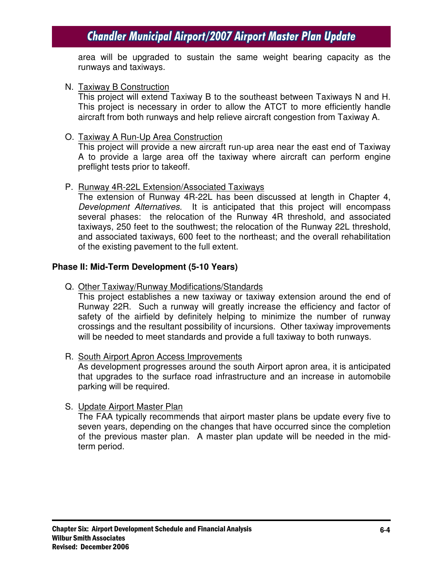area will be upgraded to sustain the same weight bearing capacity as the runways and taxiways.

#### N. Taxiway B Construction

This project will extend Taxiway B to the southeast between Taxiways N and H. This project is necessary in order to allow the ATCT to more efficiently handle aircraft from both runways and help relieve aircraft congestion from Taxiway A.

#### O. Taxiway A Run-Up Area Construction

This project will provide a new aircraft run-up area near the east end of Taxiway A to provide a large area off the taxiway where aircraft can perform engine preflight tests prior to takeoff.

#### P. Runway 4R-22L Extension/Associated Taxiways

The extension of Runway 4R-22L has been discussed at length in Chapter 4, *Development Alternatives.* It is anticipated that this project will encompass several phases: the relocation of the Runway 4R threshold, and associated taxiways, 250 feet to the southwest; the relocation of the Runway 22L threshold, and associated taxiways, 600 feet to the northeast; and the overall rehabilitation of the existing pavement to the full extent.

#### **Phase II: Mid-Term Development (5-10 Years)**

Q. Other Taxiway/Runway Modifications/Standards

This project establishes a new taxiway or taxiway extension around the end of Runway 22R. Such a runway will greatly increase the efficiency and factor of safety of the airfield by definitely helping to minimize the number of runway crossings and the resultant possibility of incursions. Other taxiway improvements will be needed to meet standards and provide a full taxiway to both runways.

#### R. South Airport Apron Access Improvements

As development progresses around the south Airport apron area, it is anticipated that upgrades to the surface road infrastructure and an increase in automobile parking will be required.

#### S. Update Airport Master Plan

The FAA typically recommends that airport master plans be update every five to seven years, depending on the changes that have occurred since the completion of the previous master plan. A master plan update will be needed in the midterm period.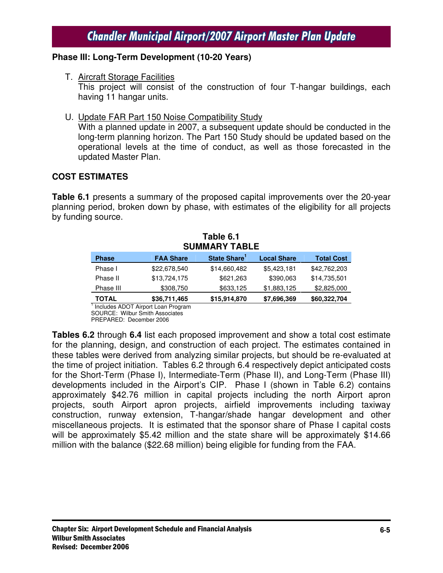### **Phase III: Long-Term Development (10-20 Years)**

T. Aircraft Storage Facilities

This project will consist of the construction of four T-hangar buildings, each having 11 hangar units.

U. Update FAR Part 150 Noise Compatibility Study

With a planned update in 2007, a subsequent update should be conducted in the long-term planning horizon. The Part 150 Study should be updated based on the operational levels at the time of conduct, as well as those forecasted in the updated Master Plan.

### **COST ESTIMATES**

**Table 6.1** presents a summary of the proposed capital improvements over the 20-year planning period, broken down by phase, with estimates of the eligibility for all projects by funding source.

| Table 6.1<br><b>SUMMARY TABLE</b> |                  |                          |                    |                   |  |  |  |
|-----------------------------------|------------------|--------------------------|--------------------|-------------------|--|--|--|
| <b>Phase</b>                      | <b>FAA Share</b> | State Share <sup>1</sup> | <b>Local Share</b> | <b>Total Cost</b> |  |  |  |
| Phase I                           | \$22,678,540     | \$14,660,482             | \$5,423,181        | \$42,762,203      |  |  |  |
| Phase II                          | \$13,724,175     | \$621,263                | \$390,063          | \$14,735,501      |  |  |  |
| Phase III                         | \$308,750        | \$633,125                | \$1,883,125        | \$2,825,000       |  |  |  |
| <b>TOTAL</b>                      | \$36,711,465     | \$15,914,870             | \$7,696,369        | \$60,322,704      |  |  |  |

<sup>1</sup> Includes ADOT Airport Loan Program

SOURCE: Wilbur Smith Associates PREPARED: December 2006

**Tables 6.2** through **6.4** list each proposed improvement and show a total cost estimate for the planning, design, and construction of each project. The estimates contained in these tables were derived from analyzing similar projects, but should be re-evaluated at the time of project initiation. Tables 6.2 through 6.4 respectively depict anticipated costs for the Short-Term (Phase I), Intermediate-Term (Phase II), and Long-Term (Phase III) developments included in the Airport's CIP. Phase I (shown in Table 6.2) contains approximately \$42.76 million in capital projects including the north Airport apron projects, south Airport apron projects, airfield improvements including taxiway construction, runway extension, T-hangar/shade hangar development and other miscellaneous projects. It is estimated that the sponsor share of Phase I capital costs will be approximately \$5.42 million and the state share will be approximately \$14.66 million with the balance (\$22.68 million) being eligible for funding from the FAA.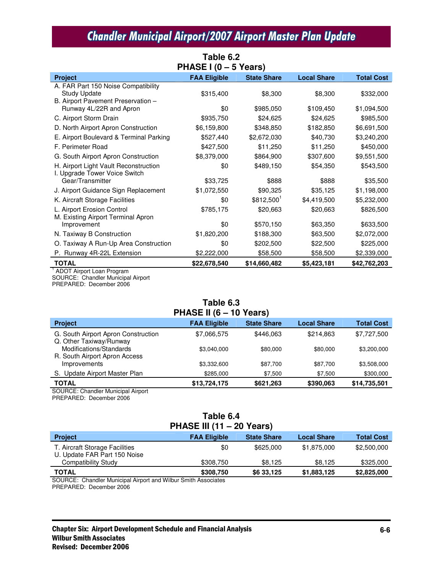| Table 6.2                                                                                        |                     |                         |                    |                   |  |  |  |
|--------------------------------------------------------------------------------------------------|---------------------|-------------------------|--------------------|-------------------|--|--|--|
| PHASE I (0 - 5 Years)                                                                            |                     |                         |                    |                   |  |  |  |
| <b>Project</b>                                                                                   | <b>FAA Eligible</b> | <b>State Share</b>      | <b>Local Share</b> | <b>Total Cost</b> |  |  |  |
| A. FAR Part 150 Noise Compatibility<br><b>Study Update</b><br>B. Airport Pavement Preservation - | \$315,400           | \$8,300                 | \$8,300            | \$332,000         |  |  |  |
| Runway 4L/22R and Apron                                                                          | \$0                 | \$985,050               | \$109,450          | \$1,094,500       |  |  |  |
| C. Airport Storm Drain                                                                           | \$935,750           | \$24,625                | \$24,625           | \$985,500         |  |  |  |
| D. North Airport Apron Construction                                                              | \$6,159,800         | \$348,850               | \$182,850          | \$6,691,500       |  |  |  |
| E. Airport Boulevard & Terminal Parking                                                          | \$527,440           | \$2,672,030             | \$40,730           | \$3,240,200       |  |  |  |
| F. Perimeter Road                                                                                | \$427,500           | \$11,250                | \$11,250           | \$450,000         |  |  |  |
| G. South Airport Apron Construction                                                              | \$8,379,000         | \$864,900               | \$307,600          | \$9,551,500       |  |  |  |
| H. Airport Light Vault Reconstruction<br>I. Upgrade Tower Voice Switch                           | \$0                 | \$489,150               | \$54,350           | \$543,500         |  |  |  |
| Gear/Transmitter                                                                                 | \$33,725            | \$888                   | \$888              | \$35,500          |  |  |  |
| J. Airport Guidance Sign Replacement                                                             | \$1,072,550         | \$90,325                | \$35,125           | \$1,198,000       |  |  |  |
| K. Aircraft Storage Facilities                                                                   | \$0                 | $$812,500$ <sup>1</sup> | \$4,419,500        | \$5,232,000       |  |  |  |
| L. Airport Erosion Control<br>M. Existing Airport Terminal Apron                                 | \$785,175           | \$20,663                | \$20,663           | \$826,500         |  |  |  |
| Improvement                                                                                      | \$0                 | \$570,150               | \$63,350           | \$633,500         |  |  |  |
| N. Taxiway B Construction                                                                        | \$1,820,200         | \$188,300               | \$63,500           | \$2,072,000       |  |  |  |
| O. Taxiway A Run-Up Area Construction                                                            | \$0                 | \$202,500               | \$22,500           | \$225,000         |  |  |  |
| P. Runway 4R-22L Extension                                                                       | \$2,222,000         | \$58,500                | \$58,500           | \$2,339,000       |  |  |  |
| <b>TOTAL</b>                                                                                     | \$22,678,540        | \$14,660,482            | \$5,423,181        | \$42,762,203      |  |  |  |

<sup>1</sup> ADOT Airport Loan Program SOURCE: Chandler Municipal Airport

PREPARED: December 2006

#### **Table 6.3 PHASE II (6 – 10 Years)**

| <b>Project</b>                                                 | <b>FAA Eligible</b> | <b>State Share</b> | <b>Local Share</b> | <b>Total Cost</b> |
|----------------------------------------------------------------|---------------------|--------------------|--------------------|-------------------|
| G. South Airport Apron Construction<br>Q. Other Taxiway/Runway | \$7,066,575         | \$446,063          | \$214.863          | \$7,727,500       |
| Modifications/Standards<br>R. South Airport Apron Access       | \$3.040.000         | \$80,000           | \$80,000           | \$3,200,000       |
| Improvements                                                   | \$3,332,600         | \$87,700           | \$87.700           | \$3,508,000       |
| S. Update Airport Master Plan                                  | \$285,000           | \$7.500            | \$7,500            | \$300,000         |
| <b>TOTAL</b>                                                   | \$13,724,175        | \$621,263          | \$390,063          | \$14,735,501      |

SOURCE: Chandler Municipal Airport PREPARED: December 2006

#### **Table 6.4 PHASE III (11 – 20 Years)**

| <b>Project</b>                                                 | <b>FAA Eligible</b>    | <b>State Share</b> | <b>Local Share</b> | <b>Total Cost</b> |
|----------------------------------------------------------------|------------------------|--------------------|--------------------|-------------------|
| T. Aircraft Storage Facilities<br>U. Update FAR Part 150 Noise | \$0                    | \$625,000          | \$1.875.000        | \$2,500,000       |
| Compatibility Study                                            | \$308,750              | \$8.125            | \$8.125            | \$325,000         |
| <b>TOTAL</b>                                                   | \$308,750              | \$6 33.125         | \$1,883,125        | \$2,825,000       |
| $\cdots$<br>. .<br>.                                           | <br>$\sim$<br>$\cdots$ |                    |                    |                   |

SOURCE: Chandler Municipal Airport and Wilbur Smith Associates PREPARED: December 2006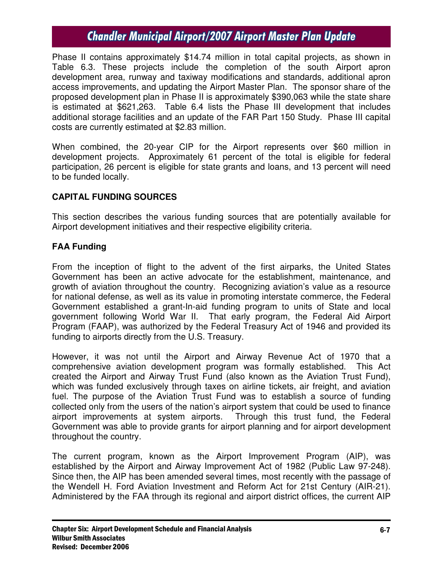Phase II contains approximately \$14.74 million in total capital projects, as shown in Table 6.3. These projects include the completion of the south Airport apron development area, runway and taxiway modifications and standards, additional apron access improvements, and updating the Airport Master Plan. The sponsor share of the proposed development plan in Phase II is approximately \$390,063 while the state share is estimated at \$621,263. Table 6.4 lists the Phase III development that includes additional storage facilities and an update of the FAR Part 150 Study. Phase III capital costs are currently estimated at \$2.83 million.

When combined, the 20-year CIP for the Airport represents over \$60 million in development projects. Approximately 61 percent of the total is eligible for federal participation, 26 percent is eligible for state grants and loans, and 13 percent will need to be funded locally.

### **CAPITAL FUNDING SOURCES**

This section describes the various funding sources that are potentially available for Airport development initiatives and their respective eligibility criteria.

# **FAA Funding**

From the inception of flight to the advent of the first airparks, the United States Government has been an active advocate for the establishment, maintenance, and growth of aviation throughout the country. Recognizing aviation's value as a resource for national defense, as well as its value in promoting interstate commerce, the Federal Government established a grant-In-aid funding program to units of State and local government following World War II. That early program, the Federal Aid Airport Program (FAAP), was authorized by the Federal Treasury Act of 1946 and provided its funding to airports directly from the U.S. Treasury.

However, it was not until the Airport and Airway Revenue Act of 1970 that a comprehensive aviation development program was formally established. This Act created the Airport and Airway Trust Fund (also known as the Aviation Trust Fund), which was funded exclusively through taxes on airline tickets, air freight, and aviation fuel. The purpose of the Aviation Trust Fund was to establish a source of funding collected only from the users of the nation's airport system that could be used to finance airport improvements at system airports. Through this trust fund, the Federal Government was able to provide grants for airport planning and for airport development throughout the country.

The current program, known as the Airport Improvement Program (AIP), was established by the Airport and Airway Improvement Act of 1982 (Public Law 97-248). Since then, the AIP has been amended several times, most recently with the passage of the Wendell H. Ford Aviation Investment and Reform Act for 21st Century (AIR-21). Administered by the FAA through its regional and airport district offices, the current AIP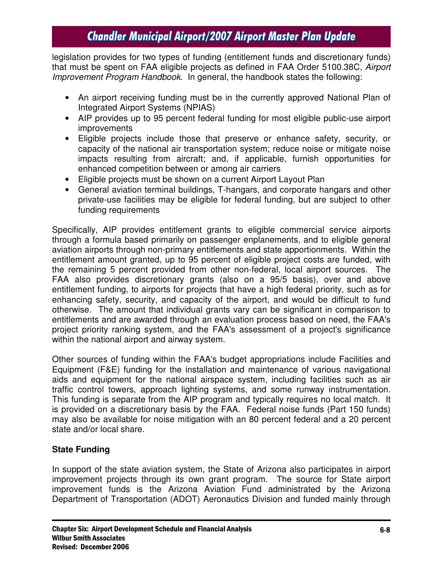legislation provides for two types of funding (entitlement funds and discretionary funds) that must be spent on FAA eligible projects as defined in FAA Order 5100.38C, *Airport Improvement Program Handbook*. In general, the handbook states the following:

- An airport receiving funding must be in the currently approved National Plan of Integrated Airport Systems (NPIAS)
- AIP provides up to 95 percent federal funding for most eligible public-use airport improvements
- Eligible projects include those that preserve or enhance safety, security, or capacity of the national air transportation system; reduce noise or mitigate noise impacts resulting from aircraft; and, if applicable, furnish opportunities for enhanced competition between or among air carriers
- Eligible projects must be shown on a current Airport Layout Plan
- General aviation terminal buildings, T-hangars, and corporate hangars and other private-use facilities may be eligible for federal funding, but are subject to other funding requirements

Specifically, AIP provides entitlement grants to eligible commercial service airports through a formula based primarily on passenger enplanements, and to eligible general aviation airports through non-primary entitlements and state apportionments. Within the entitlement amount granted, up to 95 percent of eligible project costs are funded, with the remaining 5 percent provided from other non-federal, local airport sources. The FAA also provides discretionary grants (also on a 95/5 basis), over and above entitlement funding, to airports for projects that have a high federal priority, such as for enhancing safety, security, and capacity of the airport, and would be difficult to fund otherwise. The amount that individual grants vary can be significant in comparison to entitlements and are awarded through an evaluation process based on need, the FAA's project priority ranking system, and the FAA's assessment of a project's significance within the national airport and airway system.

Other sources of funding within the FAA's budget appropriations include Facilities and Equipment (F&E) funding for the installation and maintenance of various navigational aids and equipment for the national airspace system, including facilities such as air traffic control towers, approach lighting systems, and some runway instrumentation. This funding is separate from the AIP program and typically requires no local match. It is provided on a discretionary basis by the FAA. Federal noise funds (Part 150 funds) may also be available for noise mitigation with an 80 percent federal and a 20 percent state and/or local share.

# **State Funding**

In support of the state aviation system, the State of Arizona also participates in airport improvement projects through its own grant program. The source for State airport improvement funds is the Arizona Aviation Fund administrated by the Arizona Department of Transportation (ADOT) Aeronautics Division and funded mainly through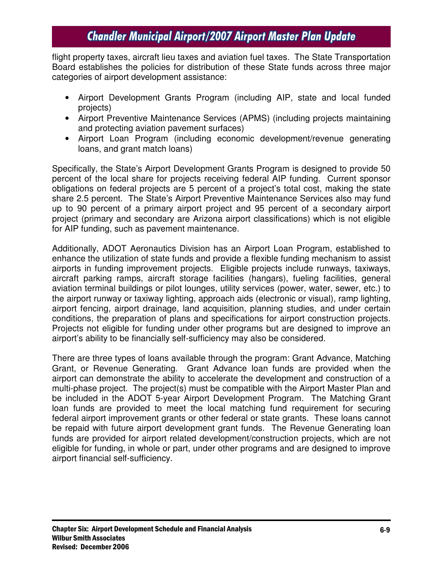flight property taxes, aircraft lieu taxes and aviation fuel taxes. The State Transportation Board establishes the policies for distribution of these State funds across three major categories of airport development assistance:

- Airport Development Grants Program (including AIP, state and local funded projects)
- Airport Preventive Maintenance Services (APMS) (including projects maintaining and protecting aviation pavement surfaces)
- Airport Loan Program (including economic development/revenue generating loans, and grant match loans)

Specifically, the State's Airport Development Grants Program is designed to provide 50 percent of the local share for projects receiving federal AIP funding. Current sponsor obligations on federal projects are 5 percent of a project's total cost, making the state share 2.5 percent. The State's Airport Preventive Maintenance Services also may fund up to 90 percent of a primary airport project and 95 percent of a secondary airport project (primary and secondary are Arizona airport classifications) which is not eligible for AIP funding, such as pavement maintenance.

Additionally, ADOT Aeronautics Division has an Airport Loan Program, established to enhance the utilization of state funds and provide a flexible funding mechanism to assist airports in funding improvement projects. Eligible projects include runways, taxiways, aircraft parking ramps, aircraft storage facilities (hangars), fueling facilities, general aviation terminal buildings or pilot lounges, utility services (power, water, sewer, etc.) to the airport runway or taxiway lighting, approach aids (electronic or visual), ramp lighting, airport fencing, airport drainage, land acquisition, planning studies, and under certain conditions, the preparation of plans and specifications for airport construction projects. Projects not eligible for funding under other programs but are designed to improve an airport's ability to be financially self-sufficiency may also be considered.

There are three types of loans available through the program: Grant Advance, Matching Grant, or Revenue Generating. Grant Advance loan funds are provided when the airport can demonstrate the ability to accelerate the development and construction of a multi-phase project. The project(s) must be compatible with the Airport Master Plan and be included in the ADOT 5-year Airport Development Program. The Matching Grant loan funds are provided to meet the local matching fund requirement for securing federal airport improvement grants or other federal or state grants. These loans cannot be repaid with future airport development grant funds. The Revenue Generating loan funds are provided for airport related development/construction projects, which are not eligible for funding, in whole or part, under other programs and are designed to improve airport financial self-sufficiency.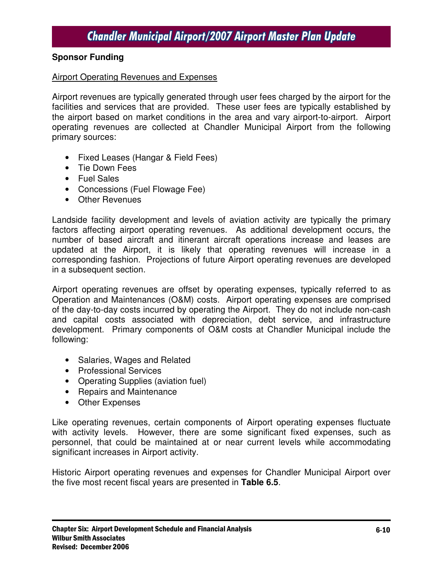### **Sponsor Funding**

#### Airport Operating Revenues and Expenses

Airport revenues are typically generated through user fees charged by the airport for the facilities and services that are provided. These user fees are typically established by the airport based on market conditions in the area and vary airport-to-airport. Airport operating revenues are collected at Chandler Municipal Airport from the following primary sources:

- Fixed Leases (Hangar & Field Fees)
- Tie Down Fees
- Fuel Sales
- Concessions (Fuel Flowage Fee)
- Other Revenues

Landside facility development and levels of aviation activity are typically the primary factors affecting airport operating revenues. As additional development occurs, the number of based aircraft and itinerant aircraft operations increase and leases are updated at the Airport, it is likely that operating revenues will increase in a corresponding fashion. Projections of future Airport operating revenues are developed in a subsequent section.

Airport operating revenues are offset by operating expenses, typically referred to as Operation and Maintenances (O&M) costs. Airport operating expenses are comprised of the day-to-day costs incurred by operating the Airport. They do not include non-cash and capital costs associated with depreciation, debt service, and infrastructure development. Primary components of O&M costs at Chandler Municipal include the following:

- Salaries, Wages and Related
- Professional Services
- Operating Supplies (aviation fuel)
- Repairs and Maintenance
- Other Expenses

Like operating revenues, certain components of Airport operating expenses fluctuate with activity levels. However, there are some significant fixed expenses, such as personnel, that could be maintained at or near current levels while accommodating significant increases in Airport activity.

Historic Airport operating revenues and expenses for Chandler Municipal Airport over the five most recent fiscal years are presented in **Table 6.5**.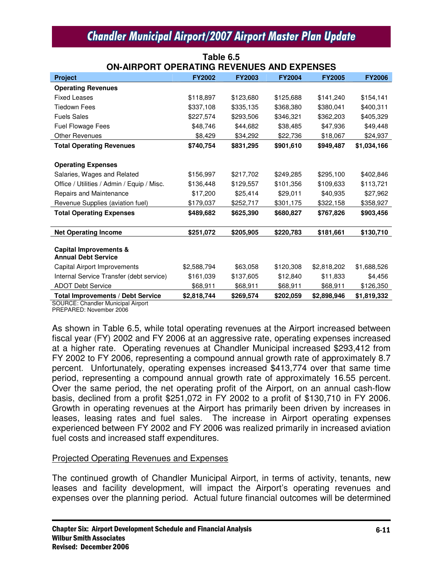| UN'AIN' UNI UF LINA HING NEVENUES AND EAF LINSES     |               |               |               |               |               |  |
|------------------------------------------------------|---------------|---------------|---------------|---------------|---------------|--|
| <b>Project</b>                                       | <b>FY2002</b> | <b>FY2003</b> | <b>FY2004</b> | <b>FY2005</b> | <b>FY2006</b> |  |
| <b>Operating Revenues</b>                            |               |               |               |               |               |  |
| <b>Fixed Leases</b>                                  | \$118,897     | \$123,680     | \$125,688     | \$141,240     | \$154,141     |  |
| <b>Tiedown Fees</b>                                  | \$337,108     | \$335,135     | \$368,380     | \$380,041     | \$400,311     |  |
| <b>Fuels Sales</b>                                   | \$227,574     | \$293,506     | \$346,321     | \$362,203     | \$405,329     |  |
| <b>Fuel Flowage Fees</b>                             | \$48,746      | \$44,682      | \$38,485      | \$47,936      | \$49,448      |  |
| <b>Other Revenues</b>                                | \$8,429       | \$34,292      | \$22,736      | \$18,067      | \$24,937      |  |
| <b>Total Operating Revenues</b>                      | \$740,754     | \$831,295     | \$901,610     | \$949,487     | \$1,034,166   |  |
|                                                      |               |               |               |               |               |  |
| <b>Operating Expenses</b>                            |               |               |               |               |               |  |
| Salaries, Wages and Related                          | \$156,997     | \$217,702     | \$249,285     | \$295,100     | \$402,846     |  |
| Office / Utilities / Admin / Equip / Misc.           | \$136,448     | \$129,557     | \$101,356     | \$109,633     | \$113,721     |  |
| Repairs and Maintenance                              | \$17,200      | \$25,414      | \$29,011      | \$40,935      | \$27,962      |  |
| Revenue Supplies (aviation fuel)                     | \$179,037     | \$252,717     | \$301,175     | \$322,158     | \$358,927     |  |
| <b>Total Operating Expenses</b>                      | \$489,682     | \$625,390     | \$680,827     | \$767,826     | \$903,456     |  |
|                                                      |               |               |               |               |               |  |
| <b>Net Operating Income</b>                          | \$251,072     | \$205,905     | \$220,783     | \$181,661     | \$130,710     |  |
|                                                      |               |               |               |               |               |  |
| Capital Improvements &<br><b>Annual Debt Service</b> |               |               |               |               |               |  |
| Capital Airport Improvements                         | \$2,588,794   | \$63,058      | \$120,308     | \$2,818,202   | \$1,688,526   |  |
| Internal Service Transfer (debt service)             | \$161,039     | \$137,605     | \$12,840      | \$11,833      | \$4,456       |  |
| <b>ADOT Debt Service</b>                             | \$68,911      | \$68,911      | \$68,911      | \$68,911      | \$126,350     |  |
| <b>Total Improvements / Debt Service</b>             | \$2,818,744   | \$269,574     | \$202,059     | \$2,898,946   | \$1,819,332   |  |
| <b>SOURCE: Chandler Municipal Airport</b>            |               |               |               |               |               |  |

**Table 6.5 ON-AIRPORT OPERATING REVENUES AND EXPENSES**

PREPARED: November 2006

As shown in Table 6.5, while total operating revenues at the Airport increased between fiscal year (FY) 2002 and FY 2006 at an aggressive rate, operating expenses increased at a higher rate. Operating revenues at Chandler Municipal increased \$293,412 from FY 2002 to FY 2006, representing a compound annual growth rate of approximately 8.7 percent. Unfortunately, operating expenses increased \$413,774 over that same time period, representing a compound annual growth rate of approximately 16.55 percent. Over the same period, the net operating profit of the Airport, on an annual cash-flow basis, declined from a profit \$251,072 in FY 2002 to a profit of \$130,710 in FY 2006. Growth in operating revenues at the Airport has primarily been driven by increases in leases, leasing rates and fuel sales. The increase in Airport operating expenses experienced between FY 2002 and FY 2006 was realized primarily in increased aviation fuel costs and increased staff expenditures.

#### Projected Operating Revenues and Expenses

The continued growth of Chandler Municipal Airport, in terms of activity, tenants, new leases and facility development, will impact the Airport's operating revenues and expenses over the planning period. Actual future financial outcomes will be determined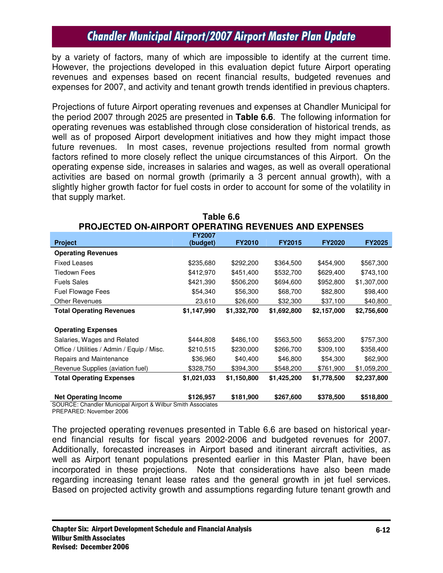by a variety of factors, many of which are impossible to identify at the current time. However, the projections developed in this evaluation depict future Airport operating revenues and expenses based on recent financial results, budgeted revenues and expenses for 2007, and activity and tenant growth trends identified in previous chapters.

Projections of future Airport operating revenues and expenses at Chandler Municipal for the period 2007 through 2025 are presented in **Table 6.6**. The following information for operating revenues was established through close consideration of historical trends, as well as of proposed Airport development initiatives and how they might impact those future revenues. In most cases, revenue projections resulted from normal growth factors refined to more closely reflect the unique circumstances of this Airport. On the operating expense side, increases in salaries and wages, as well as overall operational activities are based on normal growth (primarily a 3 percent annual growth), with a slightly higher growth factor for fuel costs in order to account for some of the volatility in that supply market.

|                                            | <b>FY2007</b>                            |               |               |               |               |
|--------------------------------------------|------------------------------------------|---------------|---------------|---------------|---------------|
| <b>Project</b>                             | (budget)                                 | <b>FY2010</b> | <b>FY2015</b> | <b>FY2020</b> | <b>FY2025</b> |
| <b>Operating Revenues</b>                  |                                          |               |               |               |               |
| <b>Fixed Leases</b>                        | \$235,680                                | \$292,200     | \$364,500     | \$454,900     | \$567,300     |
| Tiedown Fees                               | \$412,970                                | \$451,400     | \$532,700     | \$629,400     | \$743,100     |
| <b>Fuels Sales</b>                         | \$421,390                                | \$506,200     | \$694,600     | \$952,800     | \$1,307,000   |
| Fuel Flowage Fees                          | \$54,340                                 | \$56,300      | \$68,700      | \$82,800      | \$98,400      |
| <b>Other Revenues</b>                      | 23,610                                   | \$26,600      | \$32,300      | \$37,100      | \$40,800      |
| <b>Total Operating Revenues</b>            | \$1,147,990                              | \$1,332,700   | \$1,692,800   | \$2,157,000   | \$2,756,600   |
|                                            |                                          |               |               |               |               |
| <b>Operating Expenses</b>                  |                                          |               |               |               |               |
| Salaries, Wages and Related                | \$444,808                                | \$486,100     | \$563,500     | \$653,200     | \$757,300     |
| Office / Utilities / Admin / Equip / Misc. | \$210,515                                | \$230,000     | \$266,700     | \$309,100     | \$358,400     |
| Repairs and Maintenance                    | \$36,960                                 | \$40,400      | \$46,800      | \$54,300      | \$62,900      |
| Revenue Supplies (aviation fuel)           | \$328,750                                | \$394,300     | \$548,200     | \$761,900     | \$1,059,200   |
| <b>Total Operating Expenses</b>            | \$1,021,033                              | \$1,150,800   | \$1,425,200   | \$1,778,500   | \$2,237,800   |
|                                            |                                          |               |               |               |               |
| <b>Net Operating Income</b>                | \$126,957<br>$\sim$ $\cdot\cdot$ $\cdot$ | \$181,900     | \$267,600     | \$378,500     | \$518,800     |

**Table 6.6 PROJECTED ON-AIRPORT OPERATING REVENUES AND EXPENSES**

SOURCE: Chandler Municipal Airport & Wilbur Smith Associates PREPARED: November 2006

The projected operating revenues presented in Table 6.6 are based on historical yearend financial results for fiscal years 2002-2006 and budgeted revenues for 2007. Additionally, forecasted increases in Airport based and itinerant aircraft activities, as well as Airport tenant populations presented earlier in this Master Plan, have been incorporated in these projections. Note that considerations have also been made regarding increasing tenant lease rates and the general growth in jet fuel services. Based on projected activity growth and assumptions regarding future tenant growth and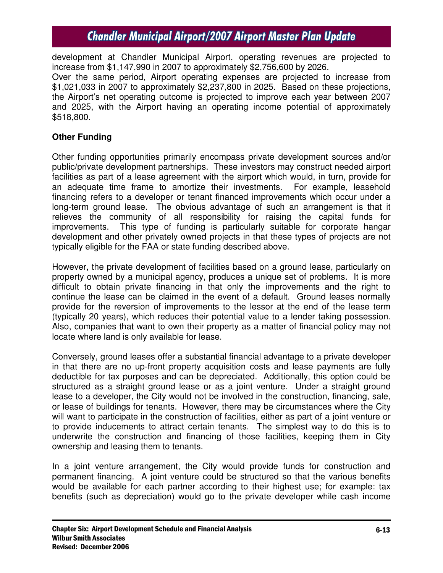development at Chandler Municipal Airport, operating revenues are projected to increase from \$1,147,990 in 2007 to approximately \$2,756,600 by 2026.

Over the same period, Airport operating expenses are projected to increase from \$1,021,033 in 2007 to approximately \$2,237,800 in 2025. Based on these projections, the Airport's net operating outcome is projected to improve each year between 2007 and 2025, with the Airport having an operating income potential of approximately \$518,800.

# **Other Funding**

Other funding opportunities primarily encompass private development sources and/or public/private development partnerships. These investors may construct needed airport facilities as part of a lease agreement with the airport which would, in turn, provide for an adequate time frame to amortize their investments. For example, leasehold financing refers to a developer or tenant financed improvements which occur under a long-term ground lease. The obvious advantage of such an arrangement is that it relieves the community of all responsibility for raising the capital funds for improvements. This type of funding is particularly suitable for corporate hangar development and other privately owned projects in that these types of projects are not typically eligible for the FAA or state funding described above.

However, the private development of facilities based on a ground lease, particularly on property owned by a municipal agency, produces a unique set of problems. It is more difficult to obtain private financing in that only the improvements and the right to continue the lease can be claimed in the event of a default. Ground leases normally provide for the reversion of improvements to the lessor at the end of the lease term (typically 20 years), which reduces their potential value to a lender taking possession. Also, companies that want to own their property as a matter of financial policy may not locate where land is only available for lease.

Conversely, ground leases offer a substantial financial advantage to a private developer in that there are no up-front property acquisition costs and lease payments are fully deductible for tax purposes and can be depreciated. Additionally, this option could be structured as a straight ground lease or as a joint venture. Under a straight ground lease to a developer, the City would not be involved in the construction, financing, sale, or lease of buildings for tenants. However, there may be circumstances where the City will want to participate in the construction of facilities, either as part of a joint venture or to provide inducements to attract certain tenants. The simplest way to do this is to underwrite the construction and financing of those facilities, keeping them in City ownership and leasing them to tenants.

In a joint venture arrangement, the City would provide funds for construction and permanent financing. A joint venture could be structured so that the various benefits would be available for each partner according to their highest use; for example: tax benefits (such as depreciation) would go to the private developer while cash income